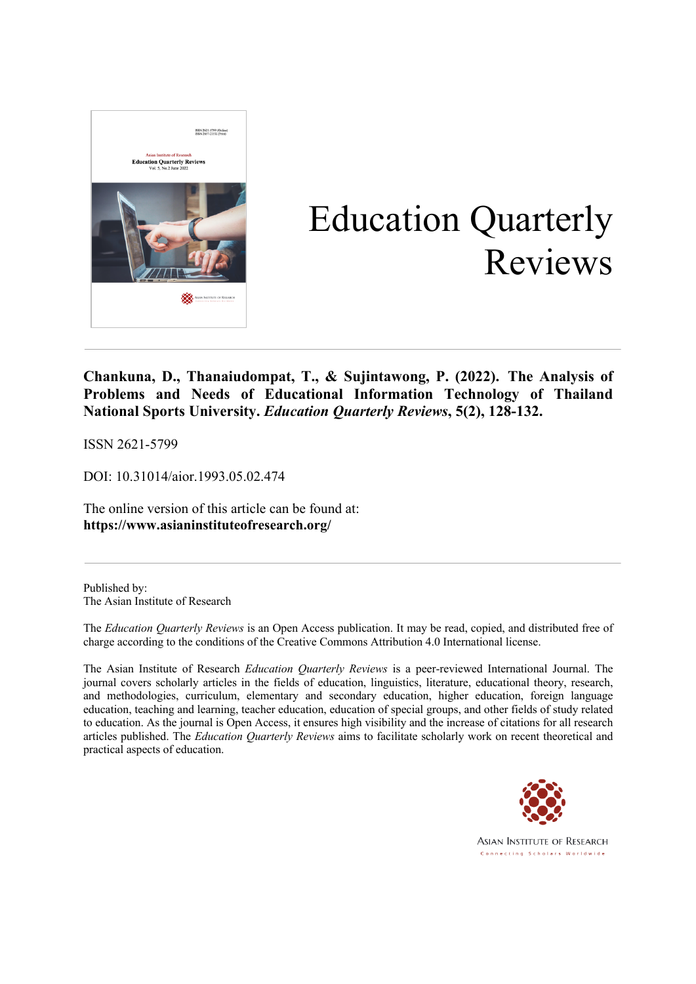

# Education Quarterly Reviews

**Chankuna, D., Thanaiudompat, T., & Sujintawong, P. (2022). The Analysis of Problems and Needs of Educational Information Technology of Thailand National Sports University.** *Education Quarterly Reviews***, 5(2), 128-132.**

ISSN 2621-5799

DOI: 10.31014/aior.1993.05.02.474

The online version of this article can be found at: **https://www.asianinstituteofresearch.org/**

Published by: The Asian Institute of Research

The *Education Quarterly Reviews* is an Open Access publication. It may be read, copied, and distributed free of charge according to the conditions of the Creative Commons Attribution 4.0 International license.

The Asian Institute of Research *Education Quarterly Reviews* is a peer-reviewed International Journal. The journal covers scholarly articles in the fields of education, linguistics, literature, educational theory, research, and methodologies, curriculum, elementary and secondary education, higher education, foreign language education, teaching and learning, teacher education, education of special groups, and other fields of study related to education. As the journal is Open Access, it ensures high visibility and the increase of citations for all research articles published. The *Education Quarterly Reviews* aims to facilitate scholarly work on recent theoretical and practical aspects of education.



**ASIAN INSTITUTE OF RESEARCH** Connecting Scholars Worldwide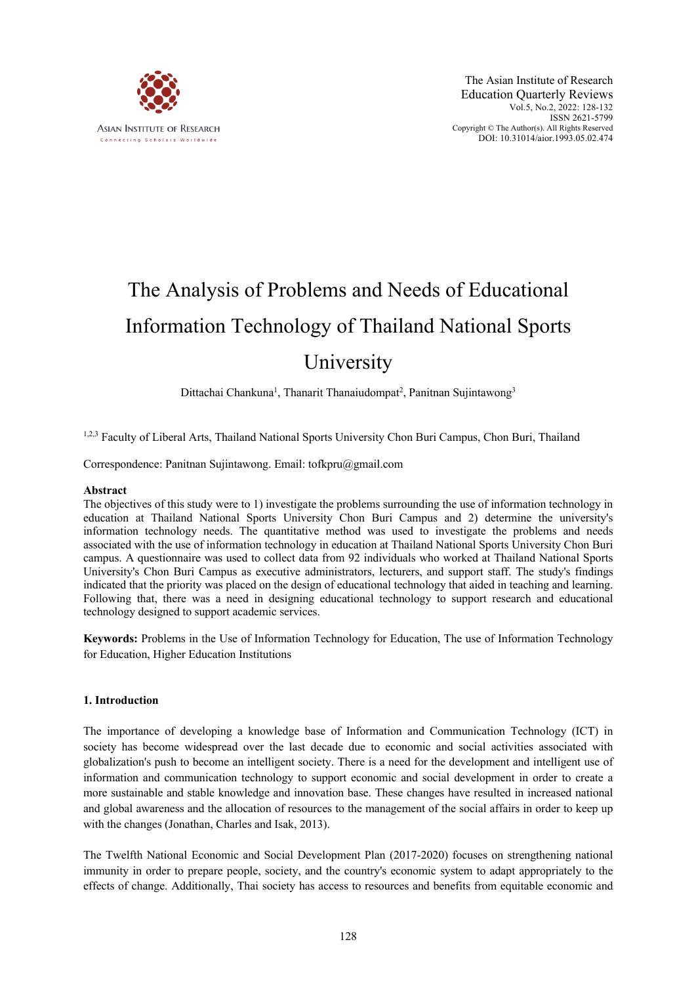

# The Analysis of Problems and Needs of Educational Information Technology of Thailand National Sports University

Dittachai Chankuna<sup>1</sup>, Thanarit Thanaiudompat<sup>2</sup>, Panitnan Sujintawong<sup>3</sup>

1,2,3 Faculty of Liberal Arts, Thailand National Sports University Chon Buri Campus, Chon Buri, Thailand

Correspondence: Panitnan Sujintawong. Email: tofkpru@gmail.com

#### **Abstract**

The objectives of this study were to 1) investigate the problems surrounding the use of information technology in education at Thailand National Sports University Chon Buri Campus and 2) determine the university's information technology needs. The quantitative method was used to investigate the problems and needs associated with the use of information technology in education at Thailand National Sports University Chon Buri campus. A questionnaire was used to collect data from 92 individuals who worked at Thailand National Sports University's Chon Buri Campus as executive administrators, lecturers, and support staff. The study's findings indicated that the priority was placed on the design of educational technology that aided in teaching and learning. Following that, there was a need in designing educational technology to support research and educational technology designed to support academic services.

**Keywords:** Problems in the Use of Information Technology for Education, The use of Information Technology for Education, Higher Education Institutions

#### **1. Introduction**

The importance of developing a knowledge base of Information and Communication Technology (ICT) in society has become widespread over the last decade due to economic and social activities associated with globalization's push to become an intelligent society. There is a need for the development and intelligent use of information and communication technology to support economic and social development in order to create a more sustainable and stable knowledge and innovation base. These changes have resulted in increased national and global awareness and the allocation of resources to the management of the social affairs in order to keep up with the changes (Jonathan, Charles and Isak, 2013).

The Twelfth National Economic and Social Development Plan (2017-2020) focuses on strengthening national immunity in order to prepare people, society, and the country's economic system to adapt appropriately to the effects of change. Additionally, Thai society has access to resources and benefits from equitable economic and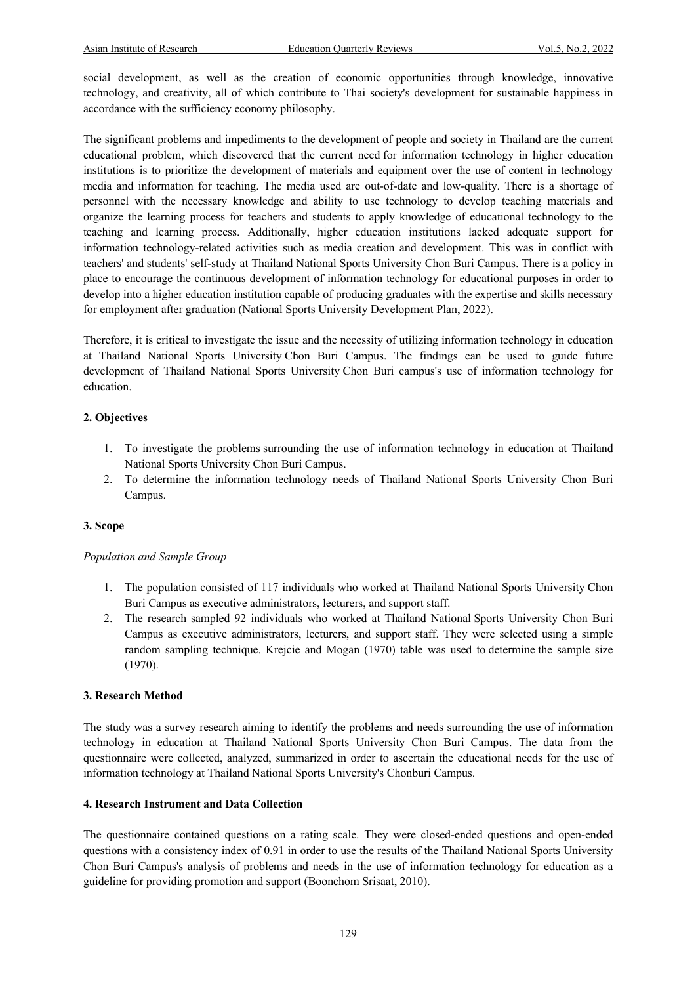social development, as well as the creation of economic opportunities through knowledge, innovative technology, and creativity, all of which contribute to Thai society's development for sustainable happiness in accordance with the sufficiency economy philosophy.

The significant problems and impediments to the development of people and society in Thailand are the current educational problem, which discovered that the current need for information technology in higher education institutions is to prioritize the development of materials and equipment over the use of content in technology media and information for teaching. The media used are out-of-date and low-quality. There is a shortage of personnel with the necessary knowledge and ability to use technology to develop teaching materials and organize the learning process for teachers and students to apply knowledge of educational technology to the teaching and learning process. Additionally, higher education institutions lacked adequate support for information technology-related activities such as media creation and development. This was in conflict with teachers' and students' self-study at Thailand National Sports University Chon Buri Campus. There is a policy in place to encourage the continuous development of information technology for educational purposes in order to develop into a higher education institution capable of producing graduates with the expertise and skills necessary for employment after graduation (National Sports University Development Plan, 2022).

Therefore, it is critical to investigate the issue and the necessity of utilizing information technology in education at Thailand National Sports University Chon Buri Campus. The findings can be used to guide future development of Thailand National Sports University Chon Buri campus's use of information technology for education.

### **2. Objectives**

- 1. To investigate the problems surrounding the use of information technology in education at Thailand National Sports University Chon Buri Campus.
- 2. To determine the information technology needs of Thailand National Sports University Chon Buri Campus.

#### **3. Scope**

#### *Population and Sample Group*

- 1. The population consisted of 117 individuals who worked at Thailand National Sports University Chon Buri Campus as executive administrators, lecturers, and support staff.
- 2. The research sampled 92 individuals who worked at Thailand National Sports University Chon Buri Campus as executive administrators, lecturers, and support staff. They were selected using a simple random sampling technique. Krejcie and Mogan (1970) table was used to determine the sample size (1970).

#### **3. Research Method**

The study was a survey research aiming to identify the problems and needs surrounding the use of information technology in education at Thailand National Sports University Chon Buri Campus. The data from the questionnaire were collected, analyzed, summarized in order to ascertain the educational needs for the use of information technology at Thailand National Sports University's Chonburi Campus.

#### **4. Research Instrument and Data Collection**

The questionnaire contained questions on a rating scale. They were closed-ended questions and open-ended questions with a consistency index of 0.91 in order to use the results of the Thailand National Sports University Chon Buri Campus's analysis of problems and needs in the use of information technology for education as a guideline for providing promotion and support (Boonchom Srisaat, 2010).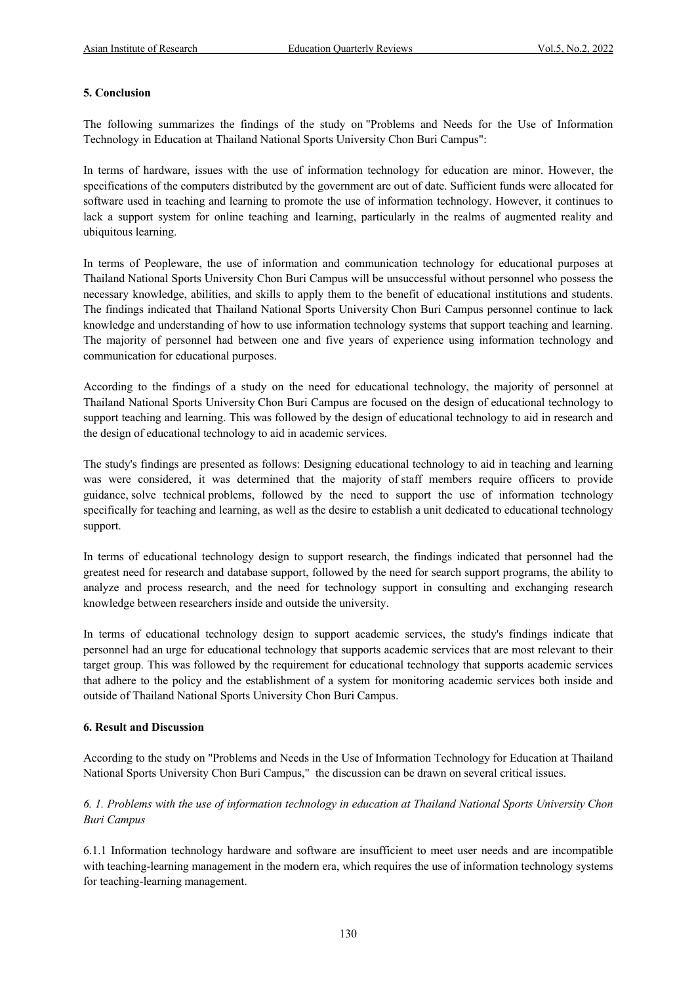#### **5. Conclusion**

The following summarizes the findings of the study on "Problems and Needs for the Use of Information Technology in Education at Thailand National Sports University Chon Buri Campus":

In terms of hardware, issues with the use of information technology for education are minor. However, the specifications of the computers distributed by the government are out of date. Sufficient funds were allocated for software used in teaching and learning to promote the use of information technology. However, it continues to lack a support system for online teaching and learning, particularly in the realms of augmented reality and ubiquitous learning.

In terms of Peopleware, the use of information and communication technology for educational purposes at Thailand National Sports University Chon Buri Campus will be unsuccessful without personnel who possess the necessary knowledge, abilities, and skills to apply them to the benefit of educational institutions and students. The findings indicated that Thailand National Sports University Chon Buri Campus personnel continue to lack knowledge and understanding of how to use information technology systems that support teaching and learning. The majority of personnel had between one and five years of experience using information technology and communication for educational purposes.

According to the findings of a study on the need for educational technology, the majority of personnel at Thailand National Sports University Chon Buri Campus are focused on the design of educational technology to support teaching and learning. This was followed by the design of educational technology to aid in research and the design of educational technology to aid in academic services.

The study's findings are presented as follows: Designing educational technology to aid in teaching and learning was were considered, it was determined that the majority of staff members require officers to provide guidance, solve technical problems, followed by the need to support the use of information technology specifically for teaching and learning, as well as the desire to establish a unit dedicated to educational technology support.

In terms of educational technology design to support research, the findings indicated that personnel had the greatest need for research and database support, followed by the need for search support programs, the ability to analyze and process research, and the need for technology support in consulting and exchanging research knowledge between researchers inside and outside the university.

In terms of educational technology design to support academic services, the study's findings indicate that personnel had an urge for educational technology that supports academic services that are most relevant to their target group. This was followed by the requirement for educational technology that supports academic services that adhere to the policy and the establishment of a system for monitoring academic services both inside and outside of Thailand National Sports University Chon Buri Campus.

#### **6. Result and Discussion**

According to the study on "Problems and Needs in the Use of Information Technology for Education at Thailand National Sports University Chon Buri Campus," the discussion can be drawn on several critical issues.

# *6. 1. Problems with the use of information technology in education at Thailand National Sports University Chon Buri Campus*

6.1.1 Information technology hardware and software are insufficient to meet user needs and are incompatible with teaching-learning management in the modern era, which requires the use of information technology systems for teaching-learning management.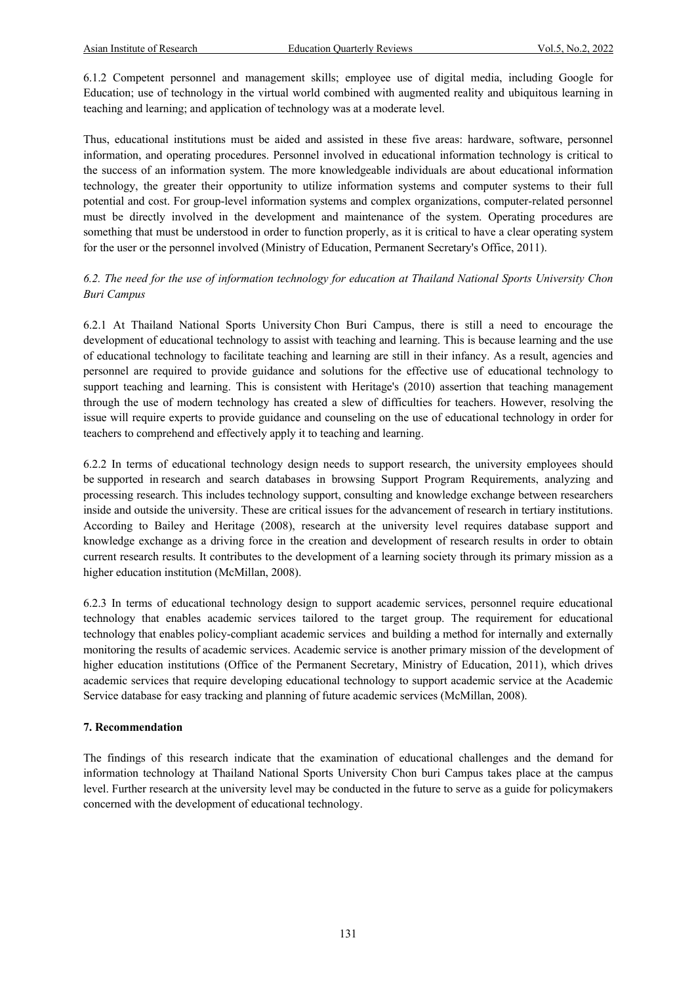6.1.2 Competent personnel and management skills; employee use of digital media, including Google for Education; use of technology in the virtual world combined with augmented reality and ubiquitous learning in teaching and learning; and application of technology was at a moderate level.

Thus, educational institutions must be aided and assisted in these five areas: hardware, software, personnel information, and operating procedures. Personnel involved in educational information technology is critical to the success of an information system. The more knowledgeable individuals are about educational information technology, the greater their opportunity to utilize information systems and computer systems to their full potential and cost. For group-level information systems and complex organizations, computer-related personnel must be directly involved in the development and maintenance of the system. Operating procedures are something that must be understood in order to function properly, as it is critical to have a clear operating system for the user or the personnel involved (Ministry of Education, Permanent Secretary's Office, 2011).

# *6.2. The need for the use of information technology for education at Thailand National Sports University Chon Buri Campus*

6.2.1 At Thailand National Sports University Chon Buri Campus, there is still a need to encourage the development of educational technology to assist with teaching and learning. This is because learning and the use of educational technology to facilitate teaching and learning are still in their infancy. As a result, agencies and personnel are required to provide guidance and solutions for the effective use of educational technology to support teaching and learning. This is consistent with Heritage's (2010) assertion that teaching management through the use of modern technology has created a slew of difficulties for teachers. However, resolving the issue will require experts to provide guidance and counseling on the use of educational technology in order for teachers to comprehend and effectively apply it to teaching and learning.

6.2.2 In terms of educational technology design needs to support research, the university employees should be supported in research and search databases in browsing Support Program Requirements, analyzing and processing research. This includes technology support, consulting and knowledge exchange between researchers inside and outside the university. These are critical issues for the advancement of research in tertiary institutions. According to Bailey and Heritage (2008), research at the university level requires database support and knowledge exchange as a driving force in the creation and development of research results in order to obtain current research results. It contributes to the development of a learning society through its primary mission as a higher education institution (McMillan, 2008).

6.2.3 In terms of educational technology design to support academic services, personnel require educational technology that enables academic services tailored to the target group. The requirement for educational technology that enables policy-compliant academic services and building a method for internally and externally monitoring the results of academic services. Academic service is another primary mission of the development of higher education institutions (Office of the Permanent Secretary, Ministry of Education, 2011), which drives academic services that require developing educational technology to support academic service at the Academic Service database for easy tracking and planning of future academic services (McMillan, 2008).

# **7. Recommendation**

The findings of this research indicate that the examination of educational challenges and the demand for information technology at Thailand National Sports University Chon buri Campus takes place at the campus level. Further research at the university level may be conducted in the future to serve as a guide for policymakers concerned with the development of educational technology.